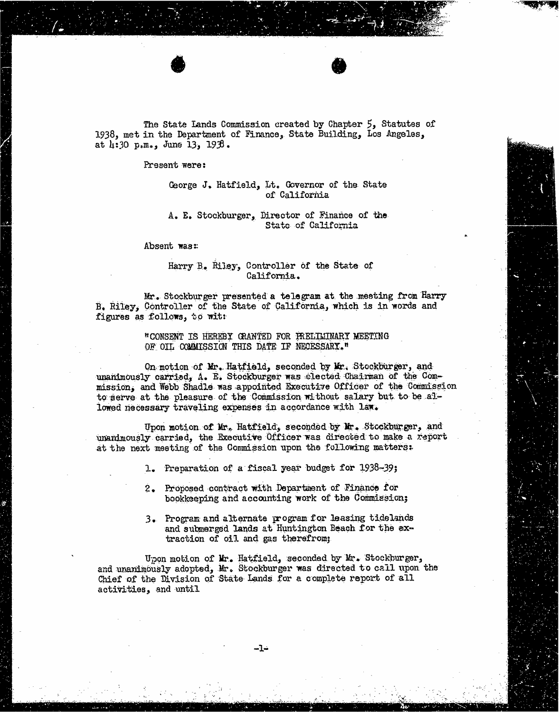The State Lands Commission created by Chapter 5, Statutes of 1938, met in the Department of Finance, State Building, Los Angeles, at 4:30 p,m., June 13, 193.

## Present were:

## George J. Hatfield, Lt. Governor of the State of California

## A. E. Stockburger, Director of Finance of the State of California

Absent was:

## Harry B. Riley, Controller of the State of California.

Mr. Stockburger presented a telegram at the mesting from Harry B. Riley, Controller of the State of California, which is in words and figures as follows, to wit:

> "CONSENT IS HEREBY GRANTED FOR PRELIMINARY MEETING OF OIL COMMISSION THIS DATE IF NECESSARY."

On motion of Mr. Hatfield, seconded by Mr. Stockburger, and unanimously carried, A. E. Stockburger was elected Chairman of the Commission, and Webb Shadle was appointed Executive Officer of the Commission to serve at the pleasure of the Commission without salary but to be allowed necessary traveling expenses in accordance with law.

Upon motion of Mr. Hatfield, seconded by Mr. Stockburger, and unanimously carried, the Executive Officer was directed to make a report at the next meeting of the Commission upon the following matters:

1. Preparation of a fiscal year budget for 1938-39;

- 2. Proposed contract with Department of Finance for bookkeeping and accounting work of the Commission;
- 3. Program and alternate program for leasing tidelands and submerged lands at Huntington Beach for the extraction of oil and gas therefrom;

Upon motion of Mr. Hatfield, seconded by Mr. Stockburger, and unanimously adopted, Mr. Stockburger was directed to call upon the Chief of the Division of State Lands for a complete report of all activities, and until